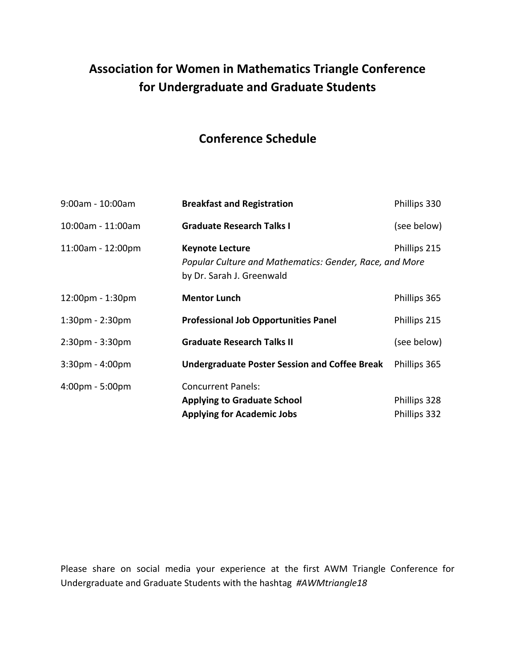## **Association for Women in Mathematics Triangle Conference for Undergraduate and Graduate Students**

## **Conference Schedule**

| $9:00$ am - 10:00am               | <b>Breakfast and Registration</b>                                                                                              | Phillips 330 |
|-----------------------------------|--------------------------------------------------------------------------------------------------------------------------------|--------------|
| 10:00am - 11:00am                 | <b>Graduate Research Talks I</b>                                                                                               | (see below)  |
| 11:00am - 12:00pm                 | Phillips 215<br><b>Keynote Lecture</b><br>Popular Culture and Mathematics: Gender, Race, and More<br>by Dr. Sarah J. Greenwald |              |
| 12:00pm - 1:30pm                  | <b>Mentor Lunch</b>                                                                                                            | Phillips 365 |
| $1:30pm - 2:30pm$                 | <b>Professional Job Opportunities Panel</b>                                                                                    | Phillips 215 |
| 2:30pm - 3:30pm                   | <b>Graduate Research Talks II</b>                                                                                              | (see below)  |
| $3:30$ pm - $4:00$ pm             | <b>Undergraduate Poster Session and Coffee Break</b>                                                                           | Phillips 365 |
| $4:00 \text{pm} - 5:00 \text{pm}$ | <b>Concurrent Panels:</b>                                                                                                      |              |
|                                   | <b>Applying to Graduate School</b>                                                                                             | Phillips 328 |
|                                   | <b>Applying for Academic Jobs</b>                                                                                              | Phillips 332 |

Please share on social media your experience at the first AWM Triangle Conference for Undergraduate and Graduate Students with the hashtag *#AWMtriangle18*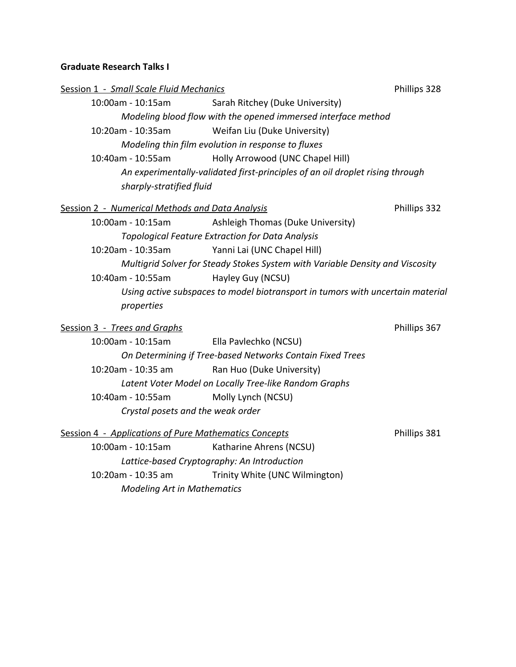## **Graduate Research Talks I**

| Session 1 - Small Scale Fluid Mechanics |                                                                               |                                                                                | Phillips 328 |  |  |
|-----------------------------------------|-------------------------------------------------------------------------------|--------------------------------------------------------------------------------|--------------|--|--|
|                                         | 10:00am - 10:15am                                                             | Sarah Ritchey (Duke University)                                                |              |  |  |
|                                         | Modeling blood flow with the opened immersed interface method                 |                                                                                |              |  |  |
|                                         | 10:20am - 10:35am                                                             | Weifan Liu (Duke University)                                                   |              |  |  |
|                                         |                                                                               | Modeling thin film evolution in response to fluxes                             |              |  |  |
|                                         | 10:40am - 10:55am                                                             | Holly Arrowood (UNC Chapel Hill)                                               |              |  |  |
|                                         | An experimentally-validated first-principles of an oil droplet rising through |                                                                                |              |  |  |
|                                         | sharply-stratified fluid                                                      |                                                                                |              |  |  |
|                                         | Session 2 - Numerical Methods and Data Analysis                               |                                                                                | Phillips 332 |  |  |
|                                         | 10:00am - 10:15am                                                             | Ashleigh Thomas (Duke University)                                              |              |  |  |
|                                         |                                                                               | <b>Topological Feature Extraction for Data Analysis</b>                        |              |  |  |
|                                         | 10:20am - 10:35am                                                             | Yanni Lai (UNC Chapel Hill)                                                    |              |  |  |
|                                         |                                                                               | Multigrid Solver for Steady Stokes System with Variable Density and Viscosity  |              |  |  |
|                                         | 10:40am - 10:55am                                                             | Hayley Guy (NCSU)                                                              |              |  |  |
|                                         |                                                                               | Using active subspaces to model biotransport in tumors with uncertain material |              |  |  |
|                                         | properties                                                                    |                                                                                |              |  |  |
|                                         | Session 3 - Trees and Graphs                                                  |                                                                                | Phillips 367 |  |  |
|                                         | 10:00am - 10:15am                                                             | Ella Pavlechko (NCSU)                                                          |              |  |  |
|                                         |                                                                               | On Determining if Tree-based Networks Contain Fixed Trees                      |              |  |  |
|                                         | 10:20am - 10:35 am                                                            | Ran Huo (Duke University)                                                      |              |  |  |
|                                         | Latent Voter Model on Locally Tree-like Random Graphs                         |                                                                                |              |  |  |
|                                         | 10:40am - 10:55am                                                             | Molly Lynch (NCSU)                                                             |              |  |  |
|                                         | Crystal posets and the weak order                                             |                                                                                |              |  |  |
|                                         | Session 4 - Applications of Pure Mathematics Concepts                         |                                                                                | Phillips 381 |  |  |
|                                         | 10:00am - 10:15am                                                             | Katharine Ahrens (NCSU)                                                        |              |  |  |
|                                         | Lattice-based Cryptography: An Introduction                                   |                                                                                |              |  |  |
|                                         | 10:20am - 10:35 am                                                            | Trinity White (UNC Wilmington)                                                 |              |  |  |
|                                         | <b>Modeling Art in Mathematics</b>                                            |                                                                                |              |  |  |
|                                         |                                                                               |                                                                                |              |  |  |